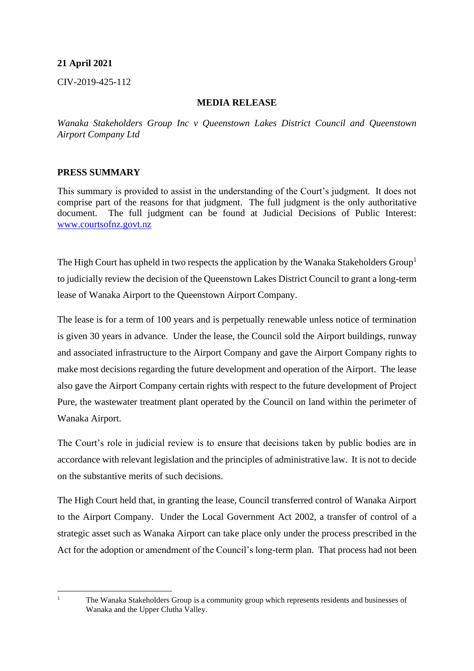## **21 April 2021**

CIV-2019-425-112

## **MEDIA RELEASE**

*Wanaka Stakeholders Group Inc v Queenstown Lakes District Council and Queenstown Airport Company Ltd*

## **PRESS SUMMARY**

This summary is provided to assist in the understanding of the Court's judgment. It does not comprise part of the reasons for that judgment. The full judgment is the only authoritative document. The full judgment can be found at Judicial Decisions of Public Interest: [www.courtsofnz.govt.nz](http://www.courtsofnz.govt.nz/)

The High Court has upheld in two respects the application by the Wanaka Stakeholders  $Group<sup>1</sup>$ to judicially review the decision of the Queenstown Lakes District Council to grant a long-term lease of Wanaka Airport to the Queenstown Airport Company.

The lease is for a term of 100 years and is perpetually renewable unless notice of termination is given 30 years in advance. Under the lease, the Council sold the Airport buildings, runway and associated infrastructure to the Airport Company and gave the Airport Company rights to make most decisions regarding the future development and operation of the Airport. The lease also gave the Airport Company certain rights with respect to the future development of Project Pure, the wastewater treatment plant operated by the Council on land within the perimeter of Wanaka Airport.

The Court's role in judicial review is to ensure that decisions taken by public bodies are in accordance with relevant legislation and the principles of administrative law. It is not to decide on the substantive merits of such decisions.

The High Court held that, in granting the lease, Council transferred control of Wanaka Airport to the Airport Company. Under the Local Government Act 2002, a transfer of control of a strategic asset such as Wanaka Airport can take place only under the process prescribed in the Act for the adoption or amendment of the Council's long-term plan. That process had not been

<sup>&</sup>lt;sup>1</sup> The Wanaka Stakeholders Group is a community group which represents residents and businesses of Wanaka and the Upper Clutha Valley.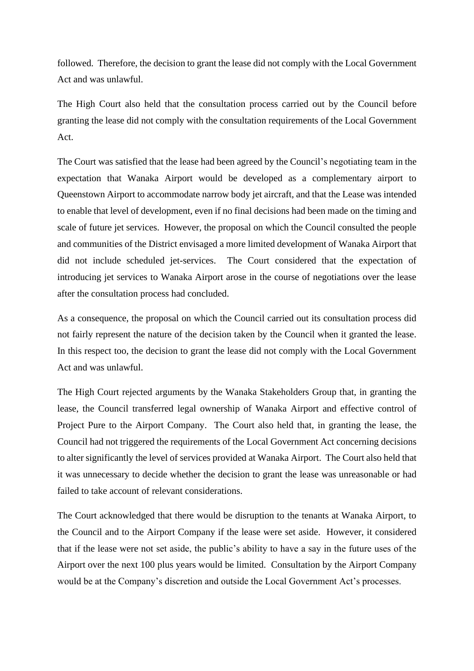followed. Therefore, the decision to grant the lease did not comply with the Local Government Act and was unlawful.

The High Court also held that the consultation process carried out by the Council before granting the lease did not comply with the consultation requirements of the Local Government Act.

The Court was satisfied that the lease had been agreed by the Council's negotiating team in the expectation that Wanaka Airport would be developed as a complementary airport to Queenstown Airport to accommodate narrow body jet aircraft, and that the Lease was intended to enable that level of development, even if no final decisions had been made on the timing and scale of future jet services. However, the proposal on which the Council consulted the people and communities of the District envisaged a more limited development of Wanaka Airport that did not include scheduled jet-services. The Court considered that the expectation of introducing jet services to Wanaka Airport arose in the course of negotiations over the lease after the consultation process had concluded.

As a consequence, the proposal on which the Council carried out its consultation process did not fairly represent the nature of the decision taken by the Council when it granted the lease. In this respect too, the decision to grant the lease did not comply with the Local Government Act and was unlawful.

The High Court rejected arguments by the Wanaka Stakeholders Group that, in granting the lease, the Council transferred legal ownership of Wanaka Airport and effective control of Project Pure to the Airport Company. The Court also held that, in granting the lease, the Council had not triggered the requirements of the Local Government Act concerning decisions to alter significantly the level of services provided at Wanaka Airport. The Court also held that it was unnecessary to decide whether the decision to grant the lease was unreasonable or had failed to take account of relevant considerations.

The Court acknowledged that there would be disruption to the tenants at Wanaka Airport, to the Council and to the Airport Company if the lease were set aside. However, it considered that if the lease were not set aside, the public's ability to have a say in the future uses of the Airport over the next 100 plus years would be limited. Consultation by the Airport Company would be at the Company's discretion and outside the Local Government Act's processes.